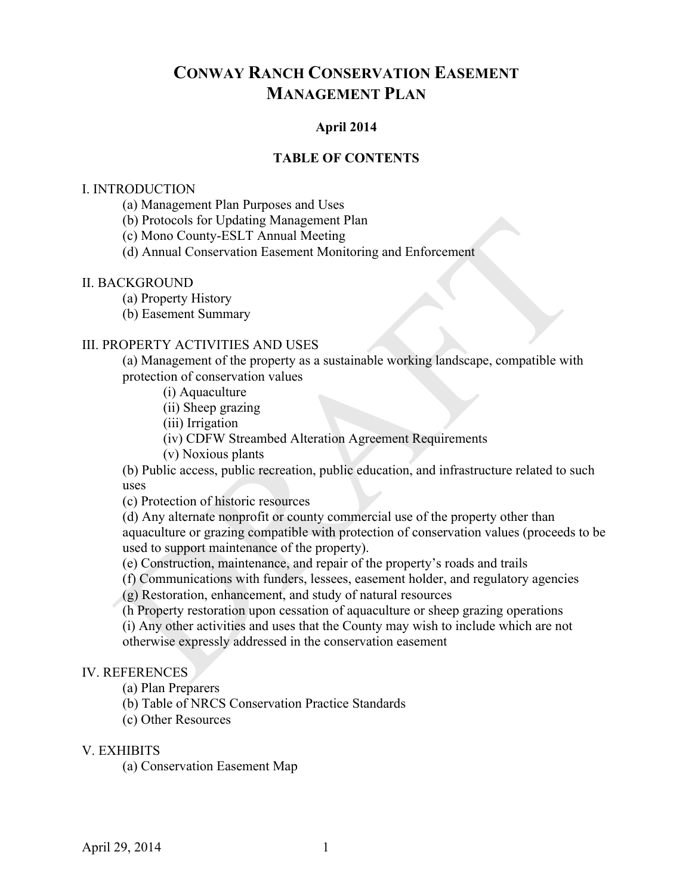# **CONWAY RANCH CONSERVATION EASEMENT MANAGEMENT PLAN**

### **April 2014**

#### **TABLE OF CONTENTS**

#### I. INTRODUCTION

- (a) Management Plan Purposes and Uses
- (b) Protocols for Updating Management Plan
- (c) Mono County-ESLT Annual Meeting
- (d) Annual Conservation Easement Monitoring and Enforcement

#### II. BACKGROUND

- (a) Property History
- (b) Easement Summary

#### III. PROPERTY ACTIVITIES AND USES

(a) Management of the property as a sustainable working landscape, compatible with protection of conservation values

- (i) Aquaculture
- (ii) Sheep grazing
- (iii) Irrigation
- (iv) CDFW Streambed Alteration Agreement Requirements
- (v) Noxious plants

(b) Public access, public recreation, public education, and infrastructure related to such uses

(c) Protection of historic resources

(d) Any alternate nonprofit or county commercial use of the property other than aquaculture or grazing compatible with protection of conservation values (proceeds to be used to support maintenance of the property).

(e) Construction, maintenance, and repair of the property's roads and trails

(f) Communications with funders, lessees, easement holder, and regulatory agencies

(g) Restoration, enhancement, and study of natural resources

(h Property restoration upon cessation of aquaculture or sheep grazing operations

(i) Any other activities and uses that the County may wish to include which are not otherwise expressly addressed in the conservation easement

#### IV. REFERENCES

- (a) Plan Preparers
- (b) Table of NRCS Conservation Practice Standards
- (c) Other Resources

#### V. EXHIBITS

(a) Conservation Easement Map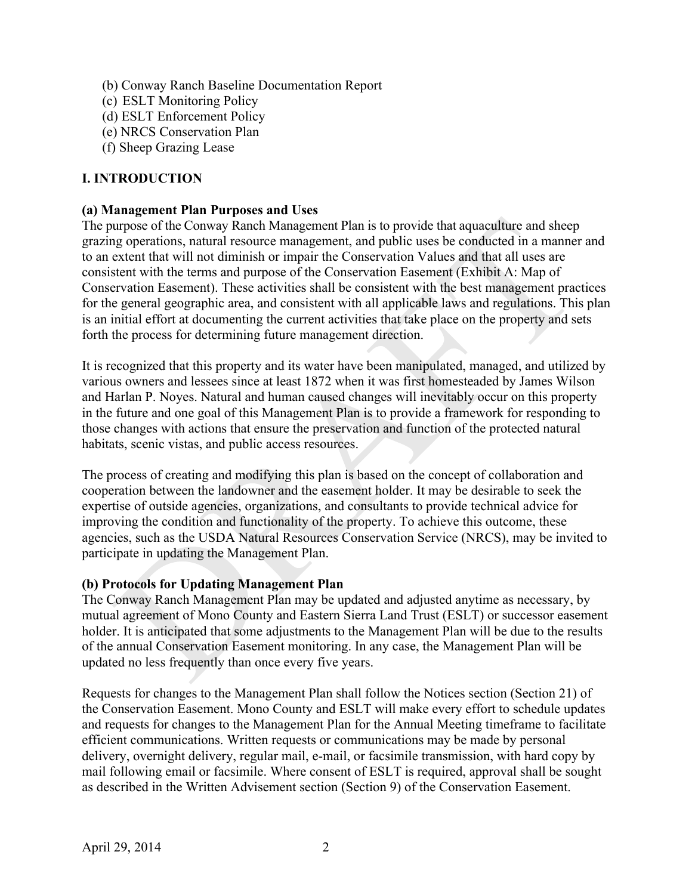- (b) Conway Ranch Baseline Documentation Report
- (c) ESLT Monitoring Policy
- (d) ESLT Enforcement Policy
- (e) NRCS Conservation Plan
- (f) Sheep Grazing Lease

### **I. INTRODUCTION**

#### **(a) Management Plan Purposes and Uses**

The purpose of the Conway Ranch Management Plan is to provide that aquaculture and sheep grazing operations, natural resource management, and public uses be conducted in a manner and to an extent that will not diminish or impair the Conservation Values and that all uses are consistent with the terms and purpose of the Conservation Easement (Exhibit A: Map of Conservation Easement). These activities shall be consistent with the best management practices for the general geographic area, and consistent with all applicable laws and regulations. This plan is an initial effort at documenting the current activities that take place on the property and sets forth the process for determining future management direction.

It is recognized that this property and its water have been manipulated, managed, and utilized by various owners and lessees since at least 1872 when it was first homesteaded by James Wilson and Harlan P. Noyes. Natural and human caused changes will inevitably occur on this property in the future and one goal of this Management Plan is to provide a framework for responding to those changes with actions that ensure the preservation and function of the protected natural habitats, scenic vistas, and public access resources.

The process of creating and modifying this plan is based on the concept of collaboration and cooperation between the landowner and the easement holder. It may be desirable to seek the expertise of outside agencies, organizations, and consultants to provide technical advice for improving the condition and functionality of the property. To achieve this outcome, these agencies, such as the USDA Natural Resources Conservation Service (NRCS), may be invited to participate in updating the Management Plan.

### **(b) Protocols for Updating Management Plan**

The Conway Ranch Management Plan may be updated and adjusted anytime as necessary, by mutual agreement of Mono County and Eastern Sierra Land Trust (ESLT) or successor easement holder. It is anticipated that some adjustments to the Management Plan will be due to the results of the annual Conservation Easement monitoring. In any case, the Management Plan will be updated no less frequently than once every five years.

Requests for changes to the Management Plan shall follow the Notices section (Section 21) of the Conservation Easement. Mono County and ESLT will make every effort to schedule updates and requests for changes to the Management Plan for the Annual Meeting timeframe to facilitate efficient communications. Written requests or communications may be made by personal delivery, overnight delivery, regular mail, e-mail, or facsimile transmission, with hard copy by mail following email or facsimile. Where consent of ESLT is required, approval shall be sought as described in the Written Advisement section (Section 9) of the Conservation Easement.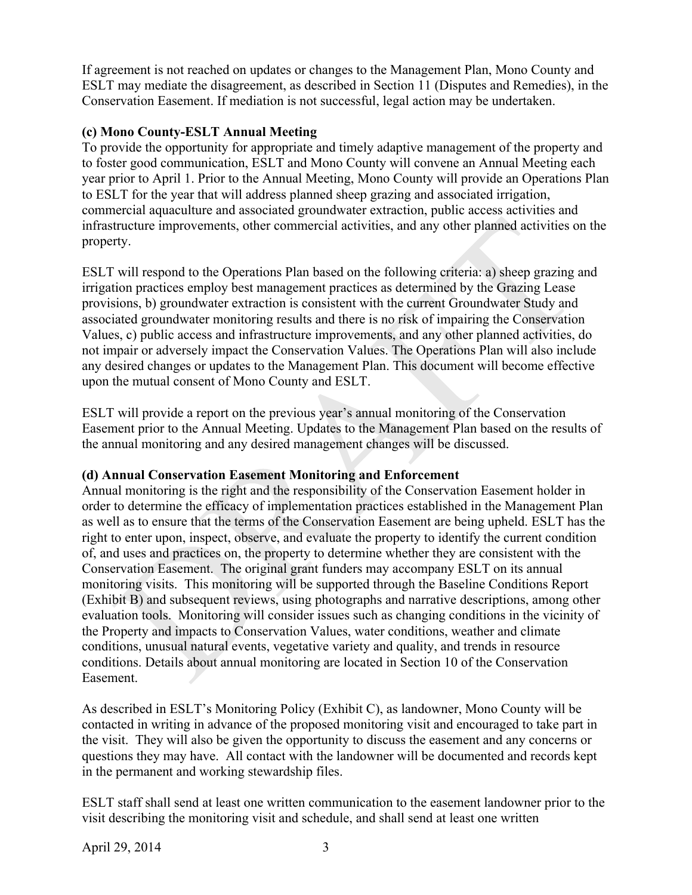If agreement is not reached on updates or changes to the Management Plan, Mono County and ESLT may mediate the disagreement, as described in Section 11 (Disputes and Remedies), in the Conservation Easement. If mediation is not successful, legal action may be undertaken.

# **(c) Mono County-ESLT Annual Meeting**

To provide the opportunity for appropriate and timely adaptive management of the property and to foster good communication, ESLT and Mono County will convene an Annual Meeting each year prior to April 1. Prior to the Annual Meeting, Mono County will provide an Operations Plan to ESLT for the year that will address planned sheep grazing and associated irrigation, commercial aquaculture and associated groundwater extraction, public access activities and infrastructure improvements, other commercial activities, and any other planned activities on the property.

ESLT will respond to the Operations Plan based on the following criteria: a) sheep grazing and irrigation practices employ best management practices as determined by the Grazing Lease provisions, b) groundwater extraction is consistent with the current Groundwater Study and associated groundwater monitoring results and there is no risk of impairing the Conservation Values, c) public access and infrastructure improvements, and any other planned activities, do not impair or adversely impact the Conservation Values. The Operations Plan will also include any desired changes or updates to the Management Plan. This document will become effective upon the mutual consent of Mono County and ESLT.

ESLT will provide a report on the previous year's annual monitoring of the Conservation Easement prior to the Annual Meeting. Updates to the Management Plan based on the results of the annual monitoring and any desired management changes will be discussed.

### **(d) Annual Conservation Easement Monitoring and Enforcement**

Annual monitoring is the right and the responsibility of the Conservation Easement holder in order to determine the efficacy of implementation practices established in the Management Plan as well as to ensure that the terms of the Conservation Easement are being upheld. ESLT has the right to enter upon, inspect, observe, and evaluate the property to identify the current condition of, and uses and practices on, the property to determine whether they are consistent with the Conservation Easement. The original grant funders may accompany ESLT on its annual monitoring visits. This monitoring will be supported through the Baseline Conditions Report (Exhibit B) and subsequent reviews, using photographs and narrative descriptions, among other evaluation tools. Monitoring will consider issues such as changing conditions in the vicinity of the Property and impacts to Conservation Values, water conditions, weather and climate conditions, unusual natural events, vegetative variety and quality, and trends in resource conditions. Details about annual monitoring are located in Section 10 of the Conservation Easement.

As described in ESLT's Monitoring Policy (Exhibit C), as landowner, Mono County will be contacted in writing in advance of the proposed monitoring visit and encouraged to take part in the visit. They will also be given the opportunity to discuss the easement and any concerns or questions they may have. All contact with the landowner will be documented and records kept in the permanent and working stewardship files.

ESLT staff shall send at least one written communication to the easement landowner prior to the visit describing the monitoring visit and schedule, and shall send at least one written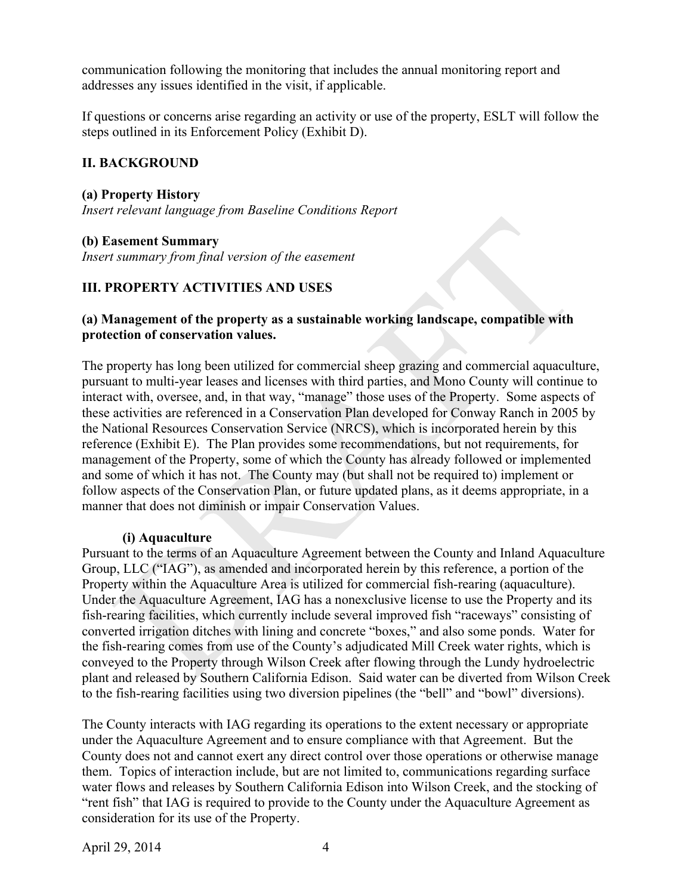communication following the monitoring that includes the annual monitoring report and addresses any issues identified in the visit, if applicable.

If questions or concerns arise regarding an activity or use of the property, ESLT will follow the steps outlined in its Enforcement Policy (Exhibit D).

### **II. BACKGROUND**

#### **(a) Property History**

*Insert relevant language from Baseline Conditions Report*

#### **(b) Easement Summary**

*Insert summary from final version of the easement*

### **III. PROPERTY ACTIVITIES AND USES**

#### **(a) Management of the property as a sustainable working landscape, compatible with protection of conservation values.**

The property has long been utilized for commercial sheep grazing and commercial aquaculture, pursuant to multi-year leases and licenses with third parties, and Mono County will continue to interact with, oversee, and, in that way, "manage" those uses of the Property. Some aspects of these activities are referenced in a Conservation Plan developed for Conway Ranch in 2005 by the National Resources Conservation Service (NRCS), which is incorporated herein by this reference (Exhibit E). The Plan provides some recommendations, but not requirements, for management of the Property, some of which the County has already followed or implemented and some of which it has not. The County may (but shall not be required to) implement or follow aspects of the Conservation Plan, or future updated plans, as it deems appropriate, in a manner that does not diminish or impair Conservation Values.

### **(i) Aquaculture**

Pursuant to the terms of an Aquaculture Agreement between the County and Inland Aquaculture Group, LLC ("IAG"), as amended and incorporated herein by this reference, a portion of the Property within the Aquaculture Area is utilized for commercial fish-rearing (aquaculture). Under the Aquaculture Agreement, IAG has a nonexclusive license to use the Property and its fish-rearing facilities, which currently include several improved fish "raceways" consisting of converted irrigation ditches with lining and concrete "boxes," and also some ponds. Water for the fish-rearing comes from use of the County's adjudicated Mill Creek water rights, which is conveyed to the Property through Wilson Creek after flowing through the Lundy hydroelectric plant and released by Southern California Edison. Said water can be diverted from Wilson Creek to the fish-rearing facilities using two diversion pipelines (the "bell" and "bowl" diversions).

The County interacts with IAG regarding its operations to the extent necessary or appropriate under the Aquaculture Agreement and to ensure compliance with that Agreement. But the County does not and cannot exert any direct control over those operations or otherwise manage them. Topics of interaction include, but are not limited to, communications regarding surface water flows and releases by Southern California Edison into Wilson Creek, and the stocking of "rent fish" that IAG is required to provide to the County under the Aquaculture Agreement as consideration for its use of the Property.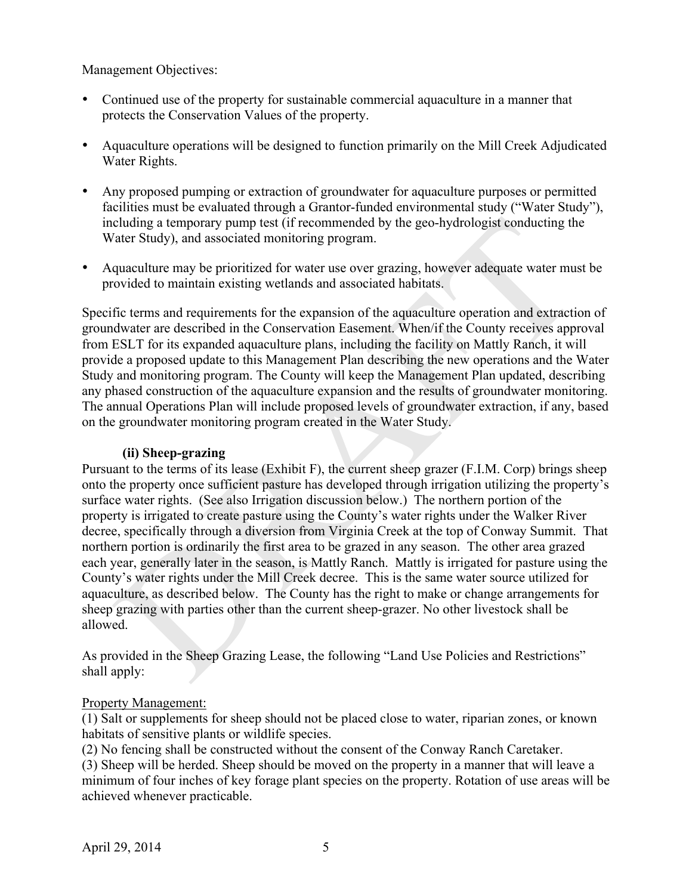### Management Objectives:

- Continued use of the property for sustainable commercial aquaculture in a manner that protects the Conservation Values of the property.
- Aquaculture operations will be designed to function primarily on the Mill Creek Adjudicated Water Rights.
- Any proposed pumping or extraction of groundwater for aquaculture purposes or permitted facilities must be evaluated through a Grantor-funded environmental study ("Water Study"), including a temporary pump test (if recommended by the geo-hydrologist conducting the Water Study), and associated monitoring program.
- Aquaculture may be prioritized for water use over grazing, however adequate water must be provided to maintain existing wetlands and associated habitats.

Specific terms and requirements for the expansion of the aquaculture operation and extraction of groundwater are described in the Conservation Easement. When/if the County receives approval from ESLT for its expanded aquaculture plans, including the facility on Mattly Ranch, it will provide a proposed update to this Management Plan describing the new operations and the Water Study and monitoring program. The County will keep the Management Plan updated, describing any phased construction of the aquaculture expansion and the results of groundwater monitoring. The annual Operations Plan will include proposed levels of groundwater extraction, if any, based on the groundwater monitoring program created in the Water Study.

#### **(ii) Sheep-grazing**

Pursuant to the terms of its lease (Exhibit F), the current sheep grazer (F.I.M. Corp) brings sheep onto the property once sufficient pasture has developed through irrigation utilizing the property's surface water rights. (See also Irrigation discussion below.) The northern portion of the property is irrigated to create pasture using the County's water rights under the Walker River decree, specifically through a diversion from Virginia Creek at the top of Conway Summit. That northern portion is ordinarily the first area to be grazed in any season. The other area grazed each year, generally later in the season, is Mattly Ranch. Mattly is irrigated for pasture using the County's water rights under the Mill Creek decree. This is the same water source utilized for aquaculture, as described below. The County has the right to make or change arrangements for sheep grazing with parties other than the current sheep-grazer. No other livestock shall be allowed.

As provided in the Sheep Grazing Lease, the following "Land Use Policies and Restrictions" shall apply:

### Property Management:

(1) Salt or supplements for sheep should not be placed close to water, riparian zones, or known habitats of sensitive plants or wildlife species.

(2) No fencing shall be constructed without the consent of the Conway Ranch Caretaker.

(3) Sheep will be herded. Sheep should be moved on the property in a manner that will leave a minimum of four inches of key forage plant species on the property. Rotation of use areas will be achieved whenever practicable.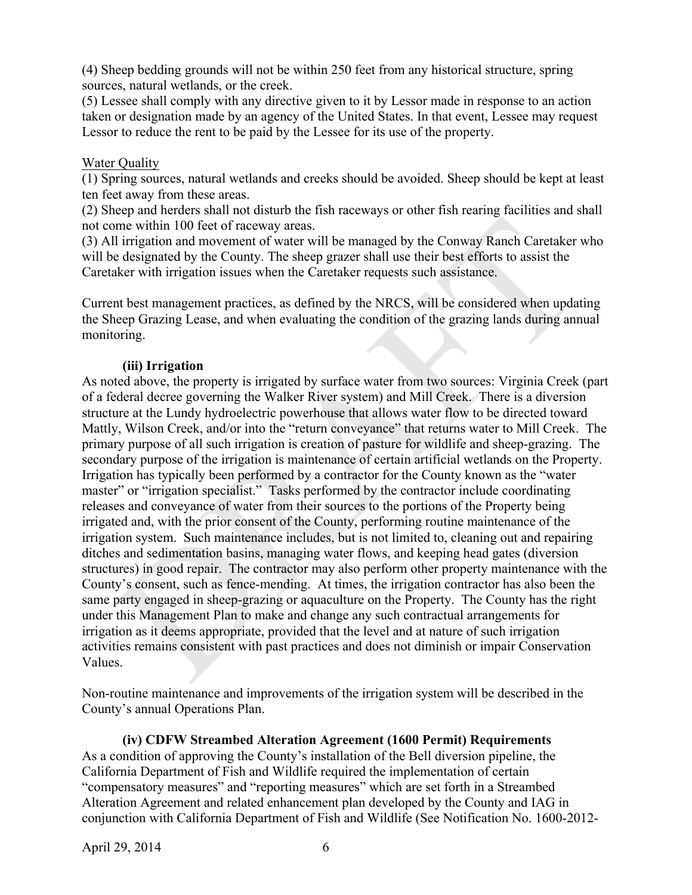(4) Sheep bedding grounds will not be within 250 feet from any historical structure, spring sources, natural wetlands, or the creek.

(5) Lessee shall comply with any directive given to it by Lessor made in response to an action taken or designation made by an agency of the United States. In that event, Lessee may request Lessor to reduce the rent to be paid by the Lessee for its use of the property.

### Water Quality

(1) Spring sources, natural wetlands and creeks should be avoided. Sheep should be kept at least ten feet away from these areas.

(2) Sheep and herders shall not disturb the fish raceways or other fish rearing facilities and shall not come within 100 feet of raceway areas.

(3) All irrigation and movement of water will be managed by the Conway Ranch Caretaker who will be designated by the County. The sheep grazer shall use their best efforts to assist the Caretaker with irrigation issues when the Caretaker requests such assistance.

Current best management practices, as defined by the NRCS, will be considered when updating the Sheep Grazing Lease, and when evaluating the condition of the grazing lands during annual monitoring.

#### **(iii) Irrigation**

As noted above, the property is irrigated by surface water from two sources: Virginia Creek (part of a federal decree governing the Walker River system) and Mill Creek. There is a diversion structure at the Lundy hydroelectric powerhouse that allows water flow to be directed toward Mattly, Wilson Creek, and/or into the "return conveyance" that returns water to Mill Creek. The primary purpose of all such irrigation is creation of pasture for wildlife and sheep-grazing. The secondary purpose of the irrigation is maintenance of certain artificial wetlands on the Property. Irrigation has typically been performed by a contractor for the County known as the "water master" or "irrigation specialist." Tasks performed by the contractor include coordinating releases and conveyance of water from their sources to the portions of the Property being irrigated and, with the prior consent of the County, performing routine maintenance of the irrigation system. Such maintenance includes, but is not limited to, cleaning out and repairing ditches and sedimentation basins, managing water flows, and keeping head gates (diversion structures) in good repair. The contractor may also perform other property maintenance with the County's consent, such as fence-mending. At times, the irrigation contractor has also been the same party engaged in sheep-grazing or aquaculture on the Property. The County has the right under this Management Plan to make and change any such contractual arrangements for irrigation as it deems appropriate, provided that the level and at nature of such irrigation activities remains consistent with past practices and does not diminish or impair Conservation Values.

Non-routine maintenance and improvements of the irrigation system will be described in the County's annual Operations Plan.

**(iv) CDFW Streambed Alteration Agreement (1600 Permit) Requirements** As a condition of approving the County's installation of the Bell diversion pipeline, the California Department of Fish and Wildlife required the implementation of certain "compensatory measures" and "reporting measures" which are set forth in a Streambed Alteration Agreement and related enhancement plan developed by the County and IAG in conjunction with California Department of Fish and Wildlife (See Notification No. 1600-2012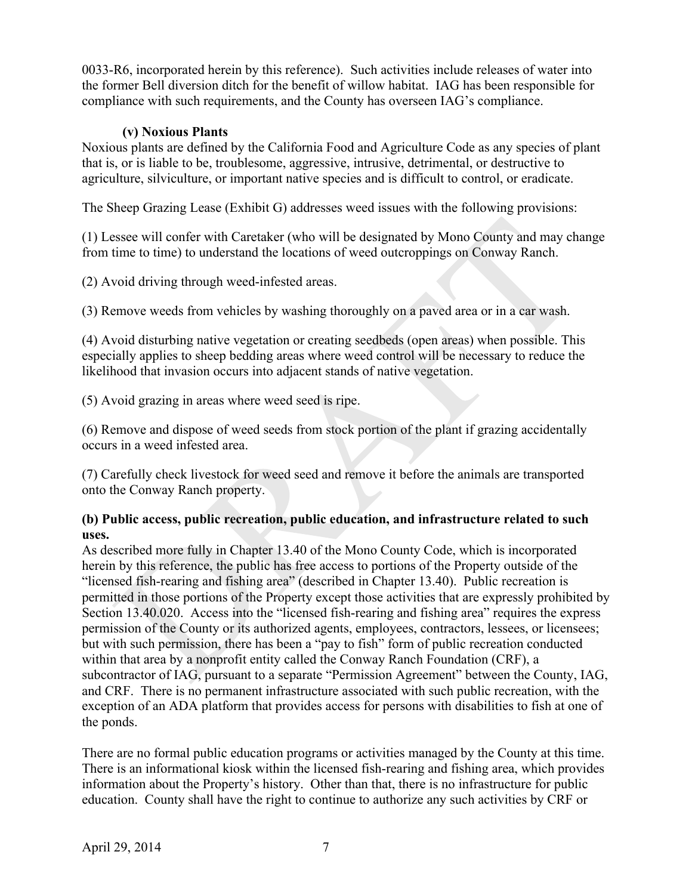0033-R6, incorporated herein by this reference). Such activities include releases of water into the former Bell diversion ditch for the benefit of willow habitat. IAG has been responsible for compliance with such requirements, and the County has overseen IAG's compliance.

### **(v) Noxious Plants**

Noxious plants are defined by the California Food and Agriculture Code as any species of plant that is, or is liable to be, troublesome, aggressive, intrusive, detrimental, or destructive to agriculture, silviculture, or important native species and is difficult to control, or eradicate.

The Sheep Grazing Lease (Exhibit G) addresses weed issues with the following provisions:

(1) Lessee will confer with Caretaker (who will be designated by Mono County and may change from time to time) to understand the locations of weed outcroppings on Conway Ranch.

(2) Avoid driving through weed-infested areas.

(3) Remove weeds from vehicles by washing thoroughly on a paved area or in a car wash.

(4) Avoid disturbing native vegetation or creating seedbeds (open areas) when possible. This especially applies to sheep bedding areas where weed control will be necessary to reduce the likelihood that invasion occurs into adjacent stands of native vegetation.

(5) Avoid grazing in areas where weed seed is ripe.

(6) Remove and dispose of weed seeds from stock portion of the plant if grazing accidentally occurs in a weed infested area.

(7) Carefully check livestock for weed seed and remove it before the animals are transported onto the Conway Ranch property.

### **(b) Public access, public recreation, public education, and infrastructure related to such uses.**

As described more fully in Chapter 13.40 of the Mono County Code, which is incorporated herein by this reference, the public has free access to portions of the Property outside of the "licensed fish-rearing and fishing area" (described in Chapter 13.40). Public recreation is permitted in those portions of the Property except those activities that are expressly prohibited by Section 13.40.020. Access into the "licensed fish-rearing and fishing area" requires the express permission of the County or its authorized agents, employees, contractors, lessees, or licensees; but with such permission, there has been a "pay to fish" form of public recreation conducted within that area by a nonprofit entity called the Conway Ranch Foundation (CRF), a subcontractor of IAG, pursuant to a separate "Permission Agreement" between the County, IAG, and CRF. There is no permanent infrastructure associated with such public recreation, with the exception of an ADA platform that provides access for persons with disabilities to fish at one of the ponds.

There are no formal public education programs or activities managed by the County at this time. There is an informational kiosk within the licensed fish-rearing and fishing area, which provides information about the Property's history. Other than that, there is no infrastructure for public education. County shall have the right to continue to authorize any such activities by CRF or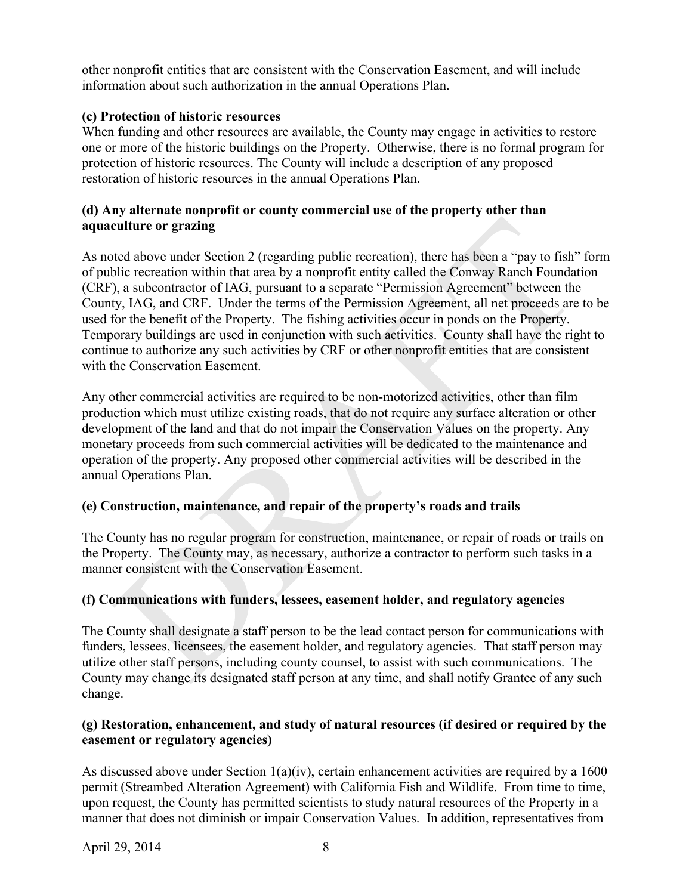other nonprofit entities that are consistent with the Conservation Easement, and will include information about such authorization in the annual Operations Plan.

# **(c) Protection of historic resources**

When funding and other resources are available, the County may engage in activities to restore one or more of the historic buildings on the Property. Otherwise, there is no formal program for protection of historic resources. The County will include a description of any proposed restoration of historic resources in the annual Operations Plan.

### **(d) Any alternate nonprofit or county commercial use of the property other than aquaculture or grazing**

As noted above under Section 2 (regarding public recreation), there has been a "pay to fish" form of public recreation within that area by a nonprofit entity called the Conway Ranch Foundation (CRF), a subcontractor of IAG, pursuant to a separate "Permission Agreement" between the County, IAG, and CRF. Under the terms of the Permission Agreement, all net proceeds are to be used for the benefit of the Property. The fishing activities occur in ponds on the Property. Temporary buildings are used in conjunction with such activities. County shall have the right to continue to authorize any such activities by CRF or other nonprofit entities that are consistent with the Conservation Easement.

Any other commercial activities are required to be non-motorized activities, other than film production which must utilize existing roads, that do not require any surface alteration or other development of the land and that do not impair the Conservation Values on the property. Any monetary proceeds from such commercial activities will be dedicated to the maintenance and operation of the property. Any proposed other commercial activities will be described in the annual Operations Plan.

# **(e) Construction, maintenance, and repair of the property's roads and trails**

The County has no regular program for construction, maintenance, or repair of roads or trails on the Property. The County may, as necessary, authorize a contractor to perform such tasks in a manner consistent with the Conservation Easement.

# **(f) Communications with funders, lessees, easement holder, and regulatory agencies**

The County shall designate a staff person to be the lead contact person for communications with funders, lessees, licensees, the easement holder, and regulatory agencies. That staff person may utilize other staff persons, including county counsel, to assist with such communications. The County may change its designated staff person at any time, and shall notify Grantee of any such change.

# **(g) Restoration, enhancement, and study of natural resources (if desired or required by the easement or regulatory agencies)**

As discussed above under Section 1(a)(iv), certain enhancement activities are required by a 1600 permit (Streambed Alteration Agreement) with California Fish and Wildlife. From time to time, upon request, the County has permitted scientists to study natural resources of the Property in a manner that does not diminish or impair Conservation Values. In addition, representatives from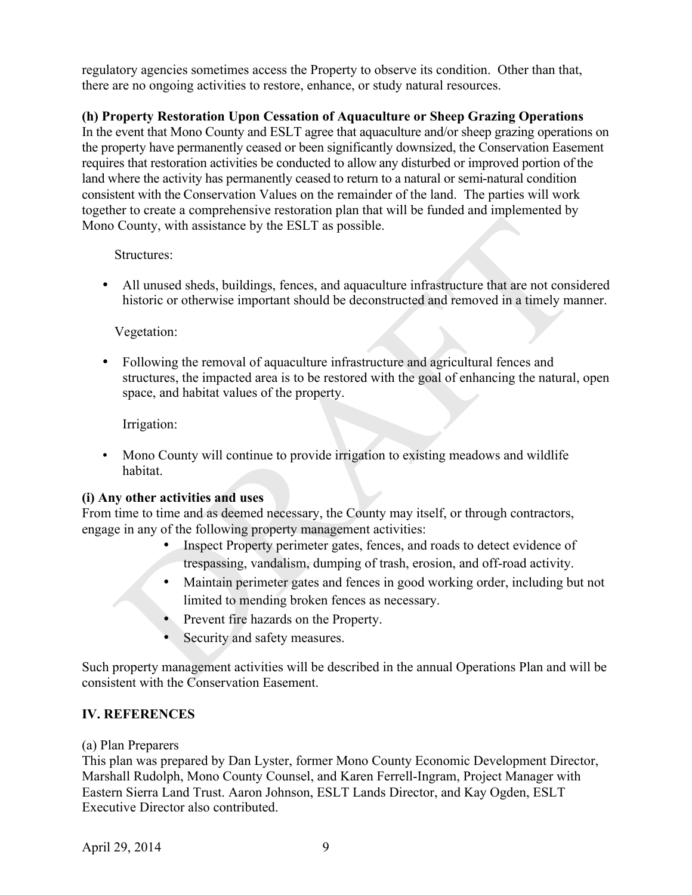regulatory agencies sometimes access the Property to observe its condition. Other than that, there are no ongoing activities to restore, enhance, or study natural resources.

# **(h) Property Restoration Upon Cessation of Aquaculture or Sheep Grazing Operations**

In the event that Mono County and ESLT agree that aquaculture and/or sheep grazing operations on the property have permanently ceased or been significantly downsized, the Conservation Easement requires that restoration activities be conducted to allow any disturbed or improved portion of the land where the activity has permanently ceased to return to a natural or semi-natural condition consistent with the Conservation Values on the remainder of the land. The parties will work together to create a comprehensive restoration plan that will be funded and implemented by Mono County, with assistance by the ESLT as possible.

#### Structures:

• All unused sheds, buildings, fences, and aquaculture infrastructure that are not considered historic or otherwise important should be deconstructed and removed in a timely manner.

### Vegetation:

• Following the removal of aquaculture infrastructure and agricultural fences and structures, the impacted area is to be restored with the goal of enhancing the natural, open space, and habitat values of the property.

Irrigation:

• Mono County will continue to provide irrigation to existing meadows and wildlife habitat.

### **(i) Any other activities and uses**

From time to time and as deemed necessary, the County may itself, or through contractors, engage in any of the following property management activities:

- Inspect Property perimeter gates, fences, and roads to detect evidence of trespassing, vandalism, dumping of trash, erosion, and off-road activity.
- Maintain perimeter gates and fences in good working order, including but not limited to mending broken fences as necessary.
- Prevent fire hazards on the Property.
- Security and safety measures.

Such property management activities will be described in the annual Operations Plan and will be consistent with the Conservation Easement.

# **IV. REFERENCES**

### (a) Plan Preparers

This plan was prepared by Dan Lyster, former Mono County Economic Development Director, Marshall Rudolph, Mono County Counsel, and Karen Ferrell-Ingram, Project Manager with Eastern Sierra Land Trust. Aaron Johnson, ESLT Lands Director, and Kay Ogden, ESLT Executive Director also contributed.